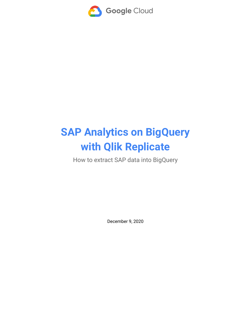

# **SAP Analytics on BigQuery with Qlik Replicate**

How to extract SAP data into BigQuery

December 9, 2020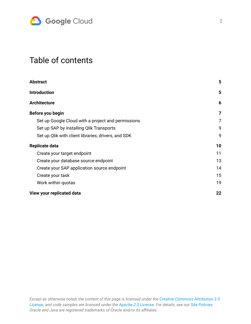

## Table of contents

| <b>Abstract</b>                                     | 5  |
|-----------------------------------------------------|----|
| <b>Introduction</b>                                 | 5  |
| <b>Architecture</b>                                 | 6  |
| Before you begin                                    | 7  |
| Set up Google Cloud with a project and permissions  | 7  |
| Set up SAP by installing Qlik Transports            | 9  |
| Set up Qlik with client libraries, drivers, and SDK | 9  |
| Replicate data                                      | 10 |
| Create your target endpoint                         | 11 |
| Create your database source endpoint                | 13 |
| Create your SAP application source endpoint         | 14 |
| Create your task                                    | 15 |
| Work within quotas                                  | 19 |
| View your replicated data                           | 22 |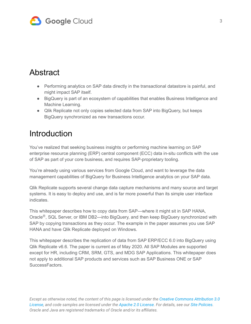

### <span id="page-2-0"></span>Abstract

- Performing analytics on SAP data directly in the transactional datastore is painful, and might impact SAP itself.
- BigQuery is part of an ecosystem of capabilities that enables Business Intelligence and Machine Learning.
- Qlik Replicate not only copies selected data from SAP into BigQuery, but keeps BigQuery synchronized as new transactions occur.

## <span id="page-2-1"></span>**Introduction**

You've realized that seeking business insights or performing machine learning on SAP enterprise resource planning (ERP) central component (ECC) data in-situ conflicts with the use of SAP as part of your core business, and requires SAP-proprietary tooling.

You're already using various services from Google Cloud, and want to leverage the data management capabilities of BigQuery for Business Intelligence analytics on your SAP data.

Qlik Replicate supports several change data capture mechanisms and many source and target systems. It is easy to deploy and use, and is far more powerful than its simple user interface indicates.

This whitepaper describes how to copy data from SAP—where it might sit in SAP HANA, Oracle<sup>®</sup>, SQL Server, or IBM DB2—into BigQuery, and then keep BigQuery synchronized with SAP by copying transactions as they occur. The example in the paper assumes you use SAP HANA and have Qlik Replicate deployed on Windows.

This whitepaper describes the replication of data from SAP ERP/ECC 6.0 into BigQuery using Qlik Replicate v6.6. The paper is current as of May 2020. All SAP Modules are supported except for HR, including CRM, SRM, GTS, and MDG SAP Applications. This whitepaper does not apply to additional SAP products and services such as SAP Business ONE or SAP SuccessFactors.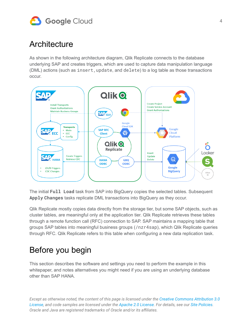

### <span id="page-3-0"></span>**Architecture**

As shown in the following architecture diagram, Qlik Replicate connects to the database underlying SAP and creates triggers, which are used to capture data manipulation language (DML) actions (such as insert,update, and delete) to a log table as those transactions occur.



The initial **Full Load** task from SAP into BigQuery copies the selected tables. Subsequent **Apply Changes** tasks replicate DML transactions into BigQuery as they occur.

Qlik Replicate mostly copies data directly from the storage tier, but some SAP objects, such as cluster tables, are meaningful only at the application tier. Qlik Replicate retrieves these tables through a remote function call (RFC) connection to SAP. SAP maintains a mapping table that groups SAP tables into meaningful business groups (/nzr4sap), which Qlik Replicate queries through RFC. Qlik Replicate refers to this table when configuring a new data replication task.

## <span id="page-3-1"></span>Before you begin

This section describes the software and settings you need to perform the example in this whitepaper, and notes alternatives you might need if you are using an underlying database other than SAP HANA.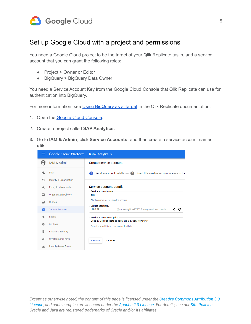

### <span id="page-4-0"></span>Set up Google Cloud with a project and permissions

You need a Google Cloud project to be the target of your Qlik Replicate tasks, and a service account that you can grant the following roles:

- Project > Owner or Editor
- BigQuery > BigQuery Data Owner

You need a Service Account Key from the Google Cloud Console that Qlik Replicate can use for authentication into BigQuery.

For more information, see Using [BigQuery](https://help.qlik.com/en-US/replicate/November2020/Content/Replicate/Main/Introduction/Home.htm) as a Target in the Qlik Replicate documentation.

- 1. Open the **Google Cloud Console**.
- 2. Create a project called **SAP Analytics.**
- **3.** Go to **IAM & Admin**, click **Service Accounts**, and then create a service account named **qlik**.

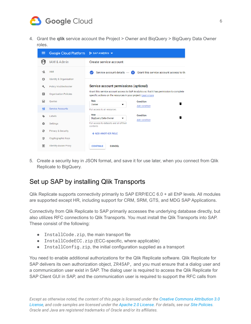

4. Grant the **qlik** service account the Project > Owner and BiqQuery > BigQuery Data Owner roles.



5. Create a security key in JSON format, and save it for use later, when you connect from Qlik Replicate to BigQuery.

### <span id="page-5-0"></span>Set up SAP by installing Qlik Transports

Qlik Replicate supports connectivity primarily to SAP ERP/ECC 6.0 + all EhP levels. All modules are supported except HR, including support for CRM, SRM, GTS, and MDG SAP Applications.

Connectivity from Qlik Replicate to SAP primarily accesses the underlying database directly, but also utilizes RFC connections to Qlik Transports. You must install the Qlik Transports into SAP. These consist of the following:

- InstallCode.zip, the main transport file
- InstallCodeECC.zip (ECC-specific, where applicable)
- InstallConfig.zip, the initial configuration supplied as a transport

You need to enable additional authorizations for the Qlik Replicate software. Qlik Replicate for SAP delivers its own authorization object, ZR4SAP, and you must ensure that a dialog user and a communication user exist in SAP. The dialog user is required to access the Qlik Replicate for SAP Client GUI in SAP, and the communication user is required to support the RFC calls from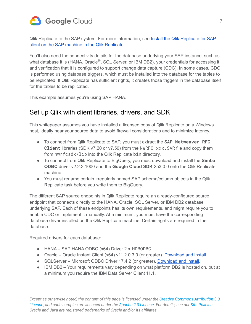

Qlik Replicate to the SAP system. For more information, see Install the Qlik [Replicate](https://help.qlik.com/en-US/replicate/November2020/Content/Replicate/Main/SAP/Install_Replicate_for_SAP_Client_on_the_SAP_Machine.htm) for SAP client on the SAP machine in the Qlik [Replicate.](https://help.qlik.com/en-US/replicate/November2020/Content/Replicate/Main/SAP/Install_Replicate_for_SAP_Client_on_the_SAP_Machine.htm)

You'll also need the connectivity details for the database underlying your SAP instance, such as what database it is (HANA, Oracle<sup>®</sup>, SQL Server, or IBM DB2), your credentials for accessing it, and verification that it is configured to support change data capture (CDC). In some cases, CDC is performed using database triggers, which must be installed into the database for the tables to be replicated. If Qlik Replicate has sufficient rights, it creates those triggers in the database itself for the tables to be replicated.

This example assumes you're using SAP HANA.

### <span id="page-6-0"></span>Set up Qlik with client libraries, drivers, and SDK

This whitepaper assumes you have installed a licensed copy of Qlik Replicate on a Windows host, ideally near your source data to avoid firewall considerations and to minimize latency.

- To connect from Qlik Replicate to SAP, you must extract the **SAP Netweaver RFC Client** libraries (SDK v7.20 or v7.50) from the NWRFC\_xxx.SAR file and copy them from nwrfcsdk/lib into the Qlik Replicate bin directory.
- To connect from Qlik Replicate to BigQuery, you must download and install the **Simba ODBC** driver v2.2.3.1000 and the **Google Cloud SDK** 253.0.0 onto the Qlik Replicate machine.
- You must rename certain irregularly named SAP schema/column objects in the Qlik Replicate task before you write them to BigQuery.

The different SAP source endpoints in Qlik Replicate require an already-configured source endpoint that connects directly to the HANA, Oracle, SQL Server, or IBM DB2 database underlying SAP. Each of these endpoints has its own requirements, and might require you to enable CDC or implement it manually. At a minimum, you must have the corresponding database driver installed on the Qlik Replicate machine. Certain rights are required in the database.

Required drivers for each database:

- HANA SAP HANA ODBC (x64) Driver 2.x HDBODBC
- Oracle Oracle Instant Client (x64) v11.2.0.3.0 (or greater). [Download](https://www.oracle.com/database/technologies/instant-client/winx64-64-downloads.html) and install.
- SQLServer Microsoft ODBC Driver 17.4.2 (or greater). [Download](https://docs.microsoft.com/en-us/sql/connect/odbc/download-odbc-driver-for-sql-server?view=sql-server-ver15) and install.
- IBM DB2 Your requirements vary depending on what platform DB2 is hosted on, but at a minimum you require the IBM Data Server Client 11.1.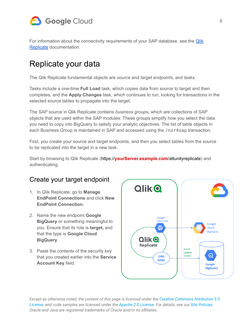

For information about the connectivity requirements of your SAP database, see the [Qlik](https://help.qlik.com/en-US/replicate/Content/Replicate/Home.htm) [Replicate](https://help.qlik.com/en-US/replicate/Content/Replicate/Home.htm) documentation.

### <span id="page-7-0"></span>Replicate your data

The Qlik Replicate fundamental objects are *source* and *target endpoints*, and *tasks*.

Tasks include a one-time **Full Load** task, which copies data from source to target and then completes, and the **Apply Changes** task, which continues to run, looking for transactions in the selected source tables to propagate into the target.

The SAP source in Qlik Replicate contains *business groups***,** which are collections of SAP objects that are used within the SAP modules. These groups simplify how you select the data you need to copy into BigQuery to satisfy your analytic objectives. The list of table objects in each Business Group is maintained in SAP and accessed using the /nzr4sap transaction.

First, you create your source and target endpoints, and then you select tables from the source to be replicated into the target in a new task.

Start by browsing to Qlik Replicate (https://**[yourServer.example.com](https://yourserver.example.com/attunityreplicate)**/attunityreplicate) and authenticating.

### <span id="page-7-1"></span>Create your target endpoint

- 1. In Qlik Replicate, go to **Manage EndPoint Connections** and click **New EndPoint Connection.**
- 2. Name the new endpoint **Google BigQuery** or something meaningful to you. Ensure that its role is **target,** and that the type is **Google Cloud BigQuery**.
- 3. Paste the contents of the security key that you created earlier into the **Service Account Key** field.

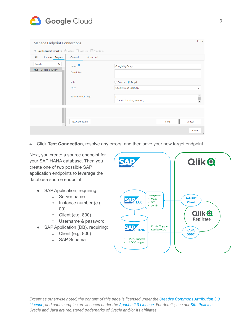

| <b>Manage Endpoint Connections</b>      |                                                           |                                            | $\Box$ $\times$ |
|-----------------------------------------|-----------------------------------------------------------|--------------------------------------------|-----------------|
|                                         | + New Endpoint Connection   Delete □ Duplicate   View Log |                                            |                 |
| Targets<br>All<br>Sources               | Advanced<br>General                                       |                                            |                 |
| $\alpha$<br>Search<br>→ Google BigQuery | Name: $\bullet$<br>Description:                           | Google BigQuery                            |                 |
|                                         | Role:<br>Type:                                            | ○ Source ● Target<br>Google Cloud BigQuery | v               |
|                                         | Service account key:                                      | "type": "service_account",                 | Î               |
|                                         |                                                           |                                            |                 |
| $\overline{\mathbf{v}}$                 | <b>Test Connection</b>                                    | Cancel<br>Save                             | Close           |

4. Click **Test Connection**, resolve any errors, and then save your new target endpoint.

Next, you create a source endpoint for your SAP HANA database. Then you create one of two possible SAP application endpoints to leverage the database source endpoint:

- SAP Application, requiring:
	- Server name
	- o Instance number (e.g. 00)
	- Client (e.g. 800)
	- Username & password
- SAP Application (DB), requiring:
	- Client (e.g. 800)
	- SAP Schema

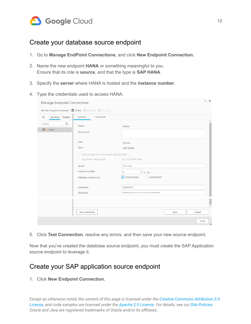

#### <span id="page-9-0"></span>Create your database source endpoint

- 1. Go to **Manage EndPoint Connections**, and click **New Endpoint Connection.**
- 2. Name the new endpoint **HANA** or something meaningful to you. Ensure that its role is **source**, and that the type is **SAP HANA**.
- 3. Specify the **server** where HANA is hosted and the **Instance number**.
- 4. Type the credentials used to access HANA.

| <b>Manage Endpoint Connections</b>  | + New Endpoint Connection   Delete   Duplicate   View Log                                                                                          | $\cup$ $\times$                                                                                                                       |
|-------------------------------------|----------------------------------------------------------------------------------------------------------------------------------------------------|---------------------------------------------------------------------------------------------------------------------------------------|
| All<br>Targets<br>Sources           | Advanced<br>General                                                                                                                                |                                                                                                                                       |
| Q<br>Search<br>$0 \rightarrow HANA$ | Name:<br>Description:                                                                                                                              | <b>HANA</b>                                                                                                                           |
| $\sim$ $\sim$                       | Role:<br>Type:<br>Read changes from log stream staging folder<br>Log stream staging task:<br>Server:<br>Instance number:<br>Database architecture: | Source<br><b>SAP HANA</b><br>No Log Stream tasks<br>10.1.4.45<br>$\bullet$ (0 - 99)<br>$\mathbf 0$<br>Single tenant<br>◯ Multi tenant |
|                                     | Username:<br>Password:                                                                                                                             | SAPABAP2                                                                                                                              |
|                                     | <b>Test Connection</b>                                                                                                                             | Cancel<br>Save<br>Close<br>$\ddot{x}$                                                                                                 |

5. Click **Test Connection**, resolve any errors, and then save your new source endpoint.

Now that you've created the database source endpoint, you must create the SAP Application source endpoint to leverage it.

#### <span id="page-9-1"></span>Create your SAP application source endpoint

1. Click **New Endpoint Connection.**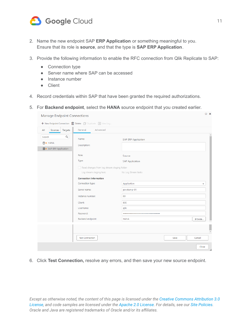

- 2. Name the new endpoint SAP **ERP Application** or something meaningful to you. Ensure that its role is **source**, and that the type is **SAP ERP Application**.
- 3. Provide the following information to enable the RFC connection from Qlik Replicate to SAP:
	- Connection type
	- Server name where SAP can be accessed
	- Instance number
	- Client
- 4. Record credentials within SAP that have been granted the required authorizations.
- 5. For **Backend endpoint**, select the **HANA** source endpoint that you created earlier.

|                                | $\Box$ $\times$<br><b>Manage Endpoint Connections</b>     |                              |  |  |  |  |
|--------------------------------|-----------------------------------------------------------|------------------------------|--|--|--|--|
|                                | + New Endpoint Connection   Delete   Duplicate   View Log |                              |  |  |  |  |
| All<br>Sources<br>Targets      | Advanced<br>General                                       |                              |  |  |  |  |
| Q<br>Search                    | Name:                                                     | <b>SAP ERP Application</b>   |  |  |  |  |
| <b>D→ HANA</b>                 | Description:                                              |                              |  |  |  |  |
| <b>ED→</b> SAP ERP Application |                                                           |                              |  |  |  |  |
|                                | Role:                                                     | Source                       |  |  |  |  |
|                                | Type:                                                     | <b>SAP Application</b>       |  |  |  |  |
|                                | Read changes from log stream staging folder               |                              |  |  |  |  |
|                                | Log stream staging task:                                  | No Log Stream tasks          |  |  |  |  |
|                                | <b>Connection Information</b>                             |                              |  |  |  |  |
|                                | Connection type:                                          | Application<br>v             |  |  |  |  |
|                                | Server name:                                              | pe-atun-p-01                 |  |  |  |  |
|                                | Instance number:                                          | 00                           |  |  |  |  |
|                                | Client:                                                   | 800                          |  |  |  |  |
|                                | Username:                                                 | qlik                         |  |  |  |  |
|                                | Password:                                                 |                              |  |  |  |  |
|                                | Backend endpoint:                                         | <b>HANA</b><br>Browse        |  |  |  |  |
|                                |                                                           |                              |  |  |  |  |
|                                |                                                           | L<br>$\overline{\mathbf{v}}$ |  |  |  |  |
|                                | <b>Test Connection</b>                                    | Cancel<br>Save               |  |  |  |  |
|                                |                                                           | Close<br>$\ldots$            |  |  |  |  |

6. Click **Test Connection,** resolve any errors, and then save your new source endpoint.

Except as otherwise noted, the content of this page is licensed under the Creative Commons [Attribution](http://creativecommons.org/licenses/by/3.0/) 3.0 [License,](http://creativecommons.org/licenses/by/3.0/) and code samples are licensed under the Apache 2.0 [License](http://www.apache.org/licenses/LICENSE-2.0). For details, see our Site [Policies.](https://cloud.google.com/site-policies) *Oracle and Java are registered trademarks of Oracle and/or its affiliates.*

 $\Box$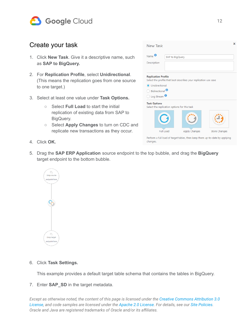

#### <span id="page-11-0"></span>Create your task

- 1. Click **New Task**. Give it a descriptive name, such as **SAP to BigQuery.**
- 2. For **Replication Profile**, select **Unidirectional**. (This means the replication goes from one source to one target.)
- 3. Select at least one value under **Task Options.**
	- Select **Full Load** to start the initial replication of existing data from SAP to BigQuery.
	- Select **Apply Changes** to turn on CDC and replicate new transactions as they occur.



- 4. Click **OK.**
- 5. Drag the **SAP ERP Application** source endpoint to the top bubble, and drag the **BigQuery** target endpoint to the bottom bubble.



#### 6. Click **Task Settings.**

This example provides a default target table schema that contains the tables in BigQuery.

7. Enter **SAP\_SD** in the target metadata.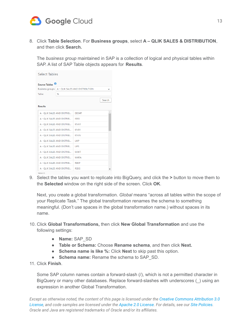

8. Click **Table Selection**. For **Business groups**, select **A – QLIK SALES & DISTRIBUTION**, and then click **Search.**

The *business group* maintained in SAP is a collection of logical and physical tables within SAP. A list of SAP Table objects appears for **Results**.

| Select Tables              |    |                                                    |        |  |  |  |
|----------------------------|----|----------------------------------------------------|--------|--|--|--|
| Source Tables <sup>0</sup> |    |                                                    |        |  |  |  |
|                            |    | Business groups:   A - QLIK SALES AND DISTRIBUTION | v      |  |  |  |
| Table:                     | 96 |                                                    |        |  |  |  |
|                            |    |                                                    | Search |  |  |  |
| <b>Results</b>             |    |                                                    |        |  |  |  |
| A - OLIK SALES AND DISTRIB |    | DD04T                                              |        |  |  |  |
| A - OLIK SALES AND DISTRIB |    | <b>ISEG</b>                                        |        |  |  |  |
| A - OLIK SALES AND DISTRIB |    | KNA1                                               |        |  |  |  |
| A - OLIK SALES AND DISTRIB |    | KNR1                                               |        |  |  |  |
| A - OLIK SALES AND DISTRIB |    | <b>KNVV</b>                                        |        |  |  |  |
| A - OLIK SALES AND DISTRIB |    | LIKP                                               |        |  |  |  |
| A - OLIK SALES AND DISTRIB |    | <b>LIPS</b>                                        |        |  |  |  |
| A - OLIK SALES AND DISTRIB |    | <b>MAKT</b>                                        |        |  |  |  |
| A - OLIK SALES AND DISTRIB |    | <b>MARA</b>                                        |        |  |  |  |
| A - OLIK SALES AND DISTRIB |    | <b>RBKP</b>                                        |        |  |  |  |
| A - OLIK SALES AND DISTRIB |    | <b>RSEG</b>                                        |        |  |  |  |
| Tables:35                  |    |                                                    |        |  |  |  |

9. Select the tables you want to replicate into BigQuery, and click the **>** button to move them to the **Selected** window on the right side of the screen. Click **OK**.

Next, you create a global transformation. *Global* means "across all tables within the scope of your Replicate Task." The global transformation renames the schema to something meaningful. (Don't use spaces in the global transformation name.) without spaces in its name.

- 10. Click **Global Transformations,** then click **New Global Transformation** and use the following settings:
	- **Name:** SAP\_SD
	- **Table or Schema:** Choose **Rename schema**, and then click **Next.**
	- **Schema name is like %:** Click **Next** to skip past this option.
	- **Schema name:** Rename the schema to SAP\_SD.
- 11. Click **Finish**.

Some SAP column names contain a forward-slash (/), which is not a permitted character in BigQuery or many other databases. Replace forward-slashes with underscores (\_) using an expression in another Global Transformation.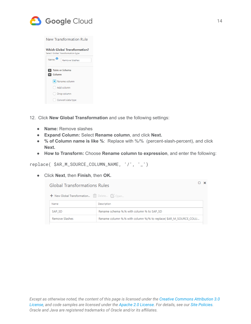

|                                              | New Transformation Rule                                                  |  |  |  |  |
|----------------------------------------------|--------------------------------------------------------------------------|--|--|--|--|
|                                              | <b>Which Global Transformation?</b><br>Select Global Transformation type |  |  |  |  |
| Name:                                        | <b>Remove Slashes</b>                                                    |  |  |  |  |
| > Table or Schema<br>$\triangleright$ Column |                                                                          |  |  |  |  |
|                                              | Rename column                                                            |  |  |  |  |
|                                              | Add column                                                               |  |  |  |  |
| . )                                          | Drop column                                                              |  |  |  |  |
|                                              | Convert data type                                                        |  |  |  |  |

- 12. Click **New Global Transformation** and use the following settings:
	- **Name:** Remove slashes
	- **Expand Column:** Select **Rename column**, and click **Next.**
	- **% of Column name is like %**: Replace with %/% (percent-slash-percent), and click **Next.**
	- **How to Transform:** Choose **Rename column to expression**, and enter the following:

replace( \$AR\_M\_SOURCE\_COLUMN\_NAME, '/', '\_')

● Click **Next**, then **Finish**, then **OK.**

| <b>Global Transformations Rules</b>                              |                                                |  |  |  |
|------------------------------------------------------------------|------------------------------------------------|--|--|--|
|                                                                  |                                                |  |  |  |
| Name<br>Description                                              |                                                |  |  |  |
| Rename schema %.% with column % to SAP SD                        |                                                |  |  |  |
| Rename column %.% with column %/% to replace( \$AR M SOURCE COLU |                                                |  |  |  |
|                                                                  | + New Global Transformation III Delete Zi Open |  |  |  |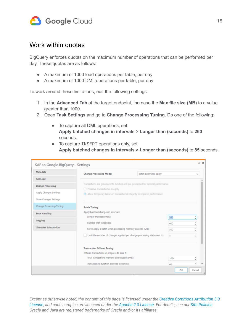

#### <span id="page-14-0"></span>Work within quotas

BigQuery enforces quotas on the maximum number of operations that can be performed per day. These quotas are as follows:

- A maximum of 1000 load operations per table, per day
- A maximum of 1000 DML operations per table, per day

To work around these limitations, edit the following settings:

- 1. In the **Advanced Tab** of the target endpoint, increase the **Max file size (MB)** to a value greater than 1000.
- 2. Open **Task Settings** and go to **Change Processing Tuning**. Do one of the following:
	- To capture all DML operations, set **Apply batched changes in intervals > Longer than (seconds)** to **260** seconds.
	- To capture INSERT operations only, set **Apply batched changes in intervals > Longer than (seconds)** to **85** seconds.

| $\Box$<br>SAP to Google BigQuery - Settings      |                                                                                                                     |                       |            |                    |  |  |
|--------------------------------------------------|---------------------------------------------------------------------------------------------------------------------|-----------------------|------------|--------------------|--|--|
| Metadata                                         | <b>Change Processing Mode:</b>                                                                                      | Batch optimized apply |            | v                  |  |  |
| <b>Full Load</b>                                 |                                                                                                                     |                       |            |                    |  |  |
| <b>Change Processing</b>                         | Transactions are grouped into batches and pre-processed for optimal performance<br>Preserve transactional integrity |                       |            |                    |  |  |
| Apply Changes Settings<br>Store Changes Settings | • Allow temporary lapses in transactional integrity to improve performance                                          |                       |            |                    |  |  |
| Change Processing Tuning                         | <b>Batch Tuning</b>                                                                                                 |                       |            |                    |  |  |
| <b>Error Handling</b>                            | Apply batched changes in intervals:                                                                                 |                       |            |                    |  |  |
| Logging                                          | Longer than (seconds):                                                                                              |                       | 260        | ۸<br>v             |  |  |
| <b>Character Substitution</b>                    | But less than (seconds):<br>Force apply a batch when processing memory exceeds (MB):                                |                       | 600<br>500 | ×.<br>v<br>×.<br>v |  |  |
|                                                  | Limit the number of changes applied per change processing statement to:                                             |                       | Ü.         | n.<br>$\sim$       |  |  |
|                                                  | <b>Transaction Offload Tuning</b>                                                                                   |                       |            |                    |  |  |
|                                                  | Offload transactions in progress to disk if:                                                                        |                       |            |                    |  |  |
|                                                  | Total transactions memory size exceeds (MB):                                                                        |                       | 1024       | ٥                  |  |  |
|                                                  | Transactions duration exceeds (seconds):                                                                            |                       | 60         | ۸                  |  |  |
|                                                  |                                                                                                                     |                       | <b>OK</b>  | Cancel             |  |  |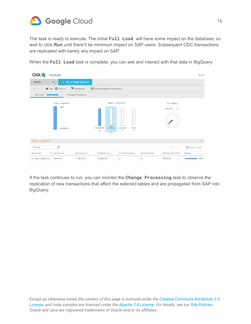

The task is ready to execute. The initial **Full Load** will have some impact on the database, so wait to click **Run** until there'll be minimum impact on SAP users. Subsequent CDC transactions are replicated with barely any impact on SAP.

When the **Full Load** task is complete, you can see and interact with that data in BigQuery:

| Qlik <b>Q</b>                                   | Replicate                                  |                          |                                                     |                                                 |                |                                       | PE-ATL                      |
|-------------------------------------------------|--------------------------------------------|--------------------------|-----------------------------------------------------|-------------------------------------------------|----------------|---------------------------------------|-----------------------------|
| <b>TASKS</b>                                    | $\checkmark$                               | SAP to Google BigQuery   |                                                     |                                                 |                |                                       |                             |
| $\blacktriangleright$ Run $\blacktriangleright$ | Stop $\bigotimes$ Tools -                  | Description              | Manage Endpoint Connections                         |                                                 |                |                                       |                             |
| Full Load                                       |                                            | <b>Change Processing</b> |                                                     |                                                 |                |                                       |                             |
|                                                 | <b>Total Completion</b><br>98%<br>00:00:56 |                          | Tables [ Select All ]<br>Completed<br>Loading<br>34 | Queued<br>Error<br>$\mathbf{0}$<br>$\mathbf{0}$ |                | Throughput<br>rec/sec<br>$\checkmark$ |                             |
| Tables - Loading                                |                                            |                          |                                                     |                                                 |                |                                       | $\hat{\phantom{a}}$         |
| Filter By                                       | Q                                          |                          |                                                     |                                                 |                | Reload                                | $\rightarrow$ Export to TSV |
| <b>Table Name</b>                               | A Load Duration                            | <b>Estimated Count</b>   | <b>Transferred Count</b>                            | Current Throughput                              | Cached Changes | <b>Estimated Finish Time</b>          | Progress                    |
| A - QLIK SALES AN                               | 00:04:32                                   | 11,822,414               | 11,820,000                                          | 0                                               | $\circ$        | 00:00:00                              | 99%                         |

If the task continues to run, you can monitor the **Change Processing** task to observe the replication of new transactions that affect the selected tables and are propagated from SAP into BigQuery.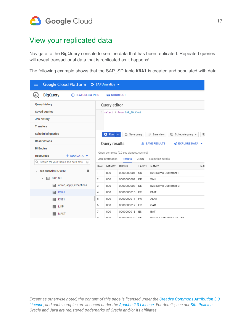

### <span id="page-16-0"></span>View your replicated data

Navigate to the BigQuery console to see the data that has been replicated. Repeated queries will reveal transactional data that is replicated as it happens!

The following example shows that the SAP\_SD table **KNA1** is created and populated with data.

| Google Cloud Platform <sup>3</sup> • SAP Analytics ▼  |         |                 |                                                            |                |                                           |           |
|-------------------------------------------------------|---------|-----------------|------------------------------------------------------------|----------------|-------------------------------------------|-----------|
| <b>BigQuery</b><br>(i) FEATURES & INFO<br>Œ           |         | <b>SHORTCUT</b> |                                                            |                |                                           |           |
| <b>Query history</b>                                  |         | Query editor    |                                                            |                |                                           |           |
| <b>Saved queries</b>                                  |         |                 | 1 select * from SAP_SD.KNA1                                |                |                                           |           |
| Job history                                           |         |                 |                                                            |                |                                           |           |
| <b>Transfers</b>                                      |         |                 |                                                            |                |                                           |           |
| <b>Scheduled queries</b>                              |         | ٥<br>Run        | 也 Save query                                               |                | :::: Save view<br>᠗<br>Schedule query -   | ×,        |
| <b>Reservations</b>                                   |         | Query results   |                                                            |                | <b>出 SAVE RESULTS</b><br>M EXPLORE DATA ▼ |           |
| <b>BI</b> Engine                                      |         |                 |                                                            |                |                                           |           |
| $+$ ADD DATA $\blacktriangledown$<br><b>Resources</b> |         | Job information | Query complete (0.0 sec elapsed, cached)<br><b>Results</b> | <b>JSON</b>    | <b>Execution details</b>                  |           |
| Q. Search for your tables and data sets<br>0          |         |                 |                                                            |                |                                           |           |
| sap-analytics-279012<br>旱                             | Row     | <b>MANDT</b>    | <b>KUNNR</b>                                               | LAND1          | NAME1                                     | <b>NA</b> |
| SAP_SD<br>EП                                          | 1.      | 800             | 0000000001                                                 | US             | B2B Demo Customer 1                       |           |
|                                                       | 2       | 800             | 0000000002                                                 | DE             | Wett                                      |           |
| attrep_apply_exceptions<br>扁                          | 3       | 800             | 0000000003                                                 | DE             | B2B Demo Customer 3                       |           |
| KNA1<br>扁                                             | 4       | 800             | 0000000010                                                 | FR             | DMT                                       |           |
| KNB1<br>扁                                             | 5       | 800             | 0000000011                                                 | FR             | ALFA                                      |           |
| 扁<br><b>LIKP</b>                                      | 6       | 800             | 0000000012                                                 | <b>FR</b>      | CAR                                       |           |
| <b>MAKT</b><br>扁                                      | 7       | 800             | 0000000013                                                 | ES             | BAT                                       |           |
|                                                       | $\circ$ | 000             | 0000000040                                                 | C <sub>1</sub> | Ku Dina Enternrice Co. Ltd.               |           |